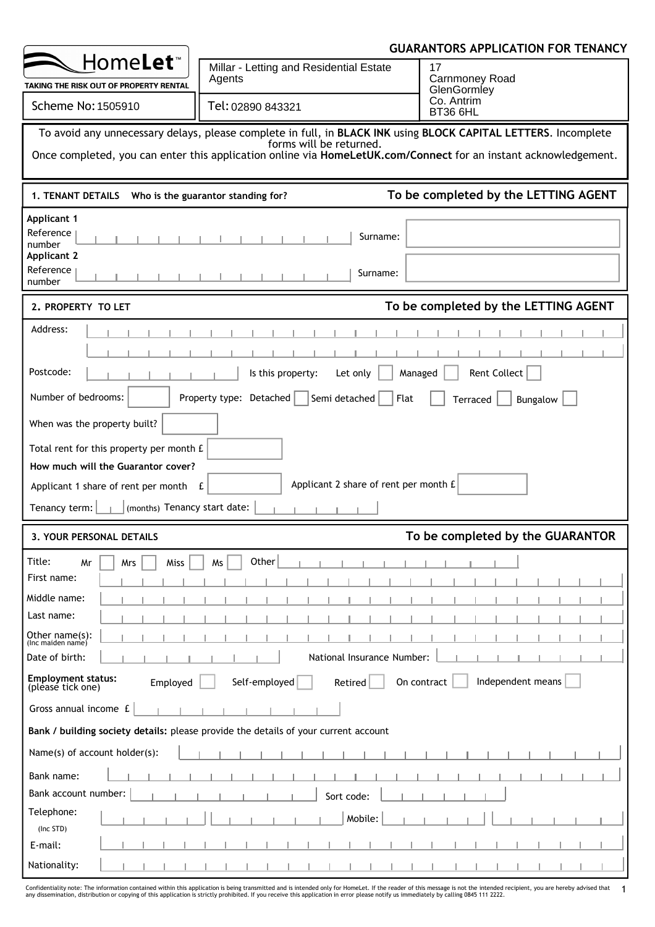|                                                                                                                                                                                                                                                              | <b>GUARANTORS APPLICATION FOR TENANCY</b>                                                                                  |                                                 |  |  |  |  |
|--------------------------------------------------------------------------------------------------------------------------------------------------------------------------------------------------------------------------------------------------------------|----------------------------------------------------------------------------------------------------------------------------|-------------------------------------------------|--|--|--|--|
| Home <b>Let</b> <sup>*</sup><br>TAKING THE RISK OUT OF PROPERTY RENTAL                                                                                                                                                                                       | Millar - Letting and Residential Estate<br>Agents                                                                          | 17<br><b>Carnmoney Road</b><br>GlenGormley      |  |  |  |  |
| Scheme No: 1505910                                                                                                                                                                                                                                           | Tel: 02890 843321                                                                                                          | Co. Antrim<br>BT36 6HL                          |  |  |  |  |
| To avoid any unnecessary delays, please complete in full, in BLACK INK using BLOCK CAPITAL LETTERS. Incomplete<br>forms will be returned.<br>Once completed, you can enter this application online via HomeLetUK.com/Connect for an instant acknowledgement. |                                                                                                                            |                                                 |  |  |  |  |
| <b>1. TENANT DETAILS</b>                                                                                                                                                                                                                                     | Who is the guarantor standing for?                                                                                         | To be completed by the LETTING AGENT            |  |  |  |  |
| <b>Applicant 1</b><br>Reference<br>number<br><b>Applicant 2</b><br>Reference<br>number                                                                                                                                                                       | Surname:<br>Surname:                                                                                                       |                                                 |  |  |  |  |
| 2. PROPERTY TO LET                                                                                                                                                                                                                                           |                                                                                                                            | To be completed by the LETTING AGENT            |  |  |  |  |
| Address:<br>Postcode:<br>Number of bedrooms:<br>When was the property built?<br>Total rent for this property per month £<br>How much will the Guarantor cover?<br>Applicant 1 share of rent per month E<br>(months) Tenancy start date:<br>Tenancy term:     | Is this property:<br>Let only<br>Property type: Detached<br>Semi detached<br>Flat<br>Applicant 2 share of rent per month £ | Rent Collect<br>Managed<br>Terraced<br>Bungalow |  |  |  |  |
| To be completed by the GUARANTOR<br>3. YOUR PERSONAL DETAILS                                                                                                                                                                                                 |                                                                                                                            |                                                 |  |  |  |  |
| Title:<br>Mrs<br>Miss<br>Mr<br>First name:<br>Middle name:<br>Last name:<br>Other name(s):<br>(Inc maiden name)<br>Date of birth:<br><b>Employment status:</b><br>Employed<br>(please tick one)<br>Gross annual income £                                     | Other<br>Ms<br>National Insurance Number:<br>Self-employed<br>Retired                                                      | Independent means<br>On contract                |  |  |  |  |
|                                                                                                                                                                                                                                                              | Bank / building society details: please provide the details of your current account                                        |                                                 |  |  |  |  |
| Name(s) of account holder(s):                                                                                                                                                                                                                                |                                                                                                                            |                                                 |  |  |  |  |
| Bank name:<br>Bank account number:<br>Telephone:                                                                                                                                                                                                             | Sort code:<br>Mobile:                                                                                                      |                                                 |  |  |  |  |
| (Inc STD)<br>E-mail:                                                                                                                                                                                                                                         |                                                                                                                            |                                                 |  |  |  |  |
| Nationality:                                                                                                                                                                                                                                                 |                                                                                                                            |                                                 |  |  |  |  |

Confidentiality note: The information contained within this application is being transmitted and is intended only for HomeLet. If the reader of this message is not the intended recipient, you are hereby advised that 1<br>any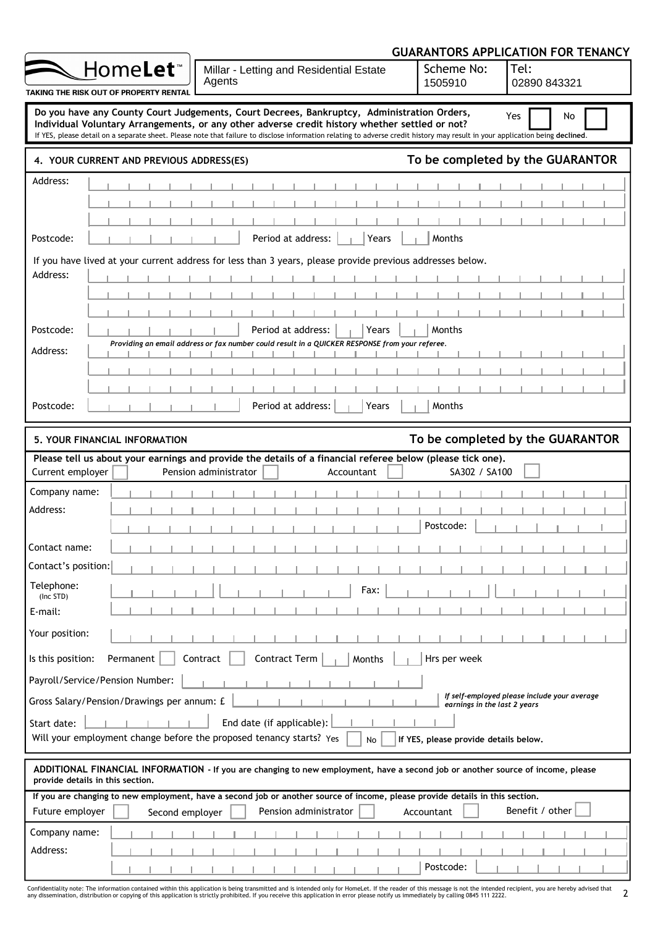|                         |                                            | <b>GUARANTORS APPLICATION FOR TENANCY</b>                                                                                                                                                                                                                                                                                                                                     |            |                                       |                                              |  |  |  |
|-------------------------|--------------------------------------------|-------------------------------------------------------------------------------------------------------------------------------------------------------------------------------------------------------------------------------------------------------------------------------------------------------------------------------------------------------------------------------|------------|---------------------------------------|----------------------------------------------|--|--|--|
|                         | Home <b>Let</b> ™                          | Millar - Letting and Residential Estate<br>Agents                                                                                                                                                                                                                                                                                                                             |            | Scheme No:<br>1505910                 | Tel:<br>02890 843321                         |  |  |  |
|                         | TAKING THE RISK OUT OF PROPERTY RENTAL     |                                                                                                                                                                                                                                                                                                                                                                               |            |                                       |                                              |  |  |  |
|                         |                                            | Do you have any County Court Judgements, Court Decrees, Bankruptcy, Administration Orders,<br>Individual Voluntary Arrangements, or any other adverse credit history whether settled or not?<br>If YES, please detail on a separate sheet. Please note that failure to disclose information relating to adverse credit history may result in your application being declined. |            |                                       | Yes<br>No                                    |  |  |  |
|                         | 4. YOUR CURRENT AND PREVIOUS ADDRESS(ES)   |                                                                                                                                                                                                                                                                                                                                                                               |            |                                       | To be completed by the GUARANTOR             |  |  |  |
| Address:                |                                            |                                                                                                                                                                                                                                                                                                                                                                               |            |                                       |                                              |  |  |  |
|                         |                                            |                                                                                                                                                                                                                                                                                                                                                                               |            |                                       |                                              |  |  |  |
|                         |                                            |                                                                                                                                                                                                                                                                                                                                                                               |            |                                       |                                              |  |  |  |
| Postcode:               |                                            | Period at address:                                                                                                                                                                                                                                                                                                                                                            | Years      | Months                                |                                              |  |  |  |
|                         |                                            | If you have lived at your current address for less than 3 years, please provide previous addresses below.                                                                                                                                                                                                                                                                     |            |                                       |                                              |  |  |  |
| Address:                |                                            |                                                                                                                                                                                                                                                                                                                                                                               |            |                                       |                                              |  |  |  |
|                         |                                            |                                                                                                                                                                                                                                                                                                                                                                               |            |                                       |                                              |  |  |  |
|                         |                                            |                                                                                                                                                                                                                                                                                                                                                                               |            |                                       |                                              |  |  |  |
| Postcode:               |                                            | Period at address:                                                                                                                                                                                                                                                                                                                                                            | Years      | Months                                |                                              |  |  |  |
| Address:                |                                            | Providing an email address or fax number could result in a QUICKER RESPONSE from your referee.                                                                                                                                                                                                                                                                                |            |                                       |                                              |  |  |  |
|                         |                                            |                                                                                                                                                                                                                                                                                                                                                                               |            |                                       |                                              |  |  |  |
|                         |                                            |                                                                                                                                                                                                                                                                                                                                                                               |            |                                       |                                              |  |  |  |
| Postcode:               |                                            | Period at address:                                                                                                                                                                                                                                                                                                                                                            | Years      | Months                                |                                              |  |  |  |
|                         | <b>5. YOUR FINANCIAL INFORMATION</b>       |                                                                                                                                                                                                                                                                                                                                                                               |            |                                       | To be completed by the GUARANTOR             |  |  |  |
|                         |                                            | Please tell us about your earnings and provide the details of a financial referee below (please tick one).                                                                                                                                                                                                                                                                    |            |                                       |                                              |  |  |  |
| Current employer        |                                            | Pension administrator                                                                                                                                                                                                                                                                                                                                                         | Accountant | SA302 / SA100                         |                                              |  |  |  |
| Company name:           |                                            |                                                                                                                                                                                                                                                                                                                                                                               |            |                                       |                                              |  |  |  |
| Address:                |                                            |                                                                                                                                                                                                                                                                                                                                                                               |            |                                       |                                              |  |  |  |
|                         |                                            |                                                                                                                                                                                                                                                                                                                                                                               |            | Postcode:                             |                                              |  |  |  |
| Contact name:           |                                            |                                                                                                                                                                                                                                                                                                                                                                               |            |                                       |                                              |  |  |  |
| Contact's position:     |                                            |                                                                                                                                                                                                                                                                                                                                                                               |            |                                       |                                              |  |  |  |
| Telephone:<br>(Inc STD) |                                            |                                                                                                                                                                                                                                                                                                                                                                               | Fax:       |                                       |                                              |  |  |  |
| E-mail:                 |                                            |                                                                                                                                                                                                                                                                                                                                                                               |            |                                       |                                              |  |  |  |
| Your position:          |                                            |                                                                                                                                                                                                                                                                                                                                                                               |            |                                       |                                              |  |  |  |
| Is this position:       | Permanent                                  | Contract Term<br>Contract                                                                                                                                                                                                                                                                                                                                                     | Months     | Hrs per week                          |                                              |  |  |  |
|                         | Payroll/Service/Pension Number:            |                                                                                                                                                                                                                                                                                                                                                                               |            |                                       |                                              |  |  |  |
|                         | Gross Salary/Pension/Drawings per annum: £ |                                                                                                                                                                                                                                                                                                                                                                               |            | earnings in the last 2 years          | If self-employed please include your average |  |  |  |
|                         |                                            | End date (if applicable):                                                                                                                                                                                                                                                                                                                                                     |            |                                       |                                              |  |  |  |
| Start date:             |                                            | Will your employment change before the proposed tenancy starts? Yes                                                                                                                                                                                                                                                                                                           | No         | If YES, please provide details below. |                                              |  |  |  |
|                         |                                            |                                                                                                                                                                                                                                                                                                                                                                               |            |                                       |                                              |  |  |  |
|                         |                                            |                                                                                                                                                                                                                                                                                                                                                                               |            |                                       |                                              |  |  |  |
|                         | provide details in this section.           | ADDITIONAL FINANCIAL INFORMATION - If you are changing to new employment, have a second job or another source of income, please                                                                                                                                                                                                                                               |            |                                       |                                              |  |  |  |
|                         |                                            | If you are changing to new employment, have a second job or another source of income, please provide details in this section.                                                                                                                                                                                                                                                 |            |                                       |                                              |  |  |  |
| Future employer         | Second employer                            | Pension administrator                                                                                                                                                                                                                                                                                                                                                         | Accountant |                                       | Benefit / other                              |  |  |  |
| Company name:           |                                            |                                                                                                                                                                                                                                                                                                                                                                               |            |                                       |                                              |  |  |  |
| Address:                |                                            |                                                                                                                                                                                                                                                                                                                                                                               |            | Postcode:                             |                                              |  |  |  |

Confidentiality note: The information contained within this application is being transmitted and is intended only for HomeLet. If the reader of this message is not the intended recipient, you are hereby advised that 2<br>any